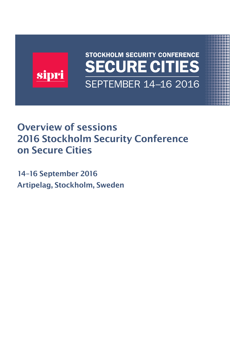

## Overview of sessions 2016 Stockholm Security Conference on Secure Cities

14–16 September 2016 Artipelag, Stockholm, Sweden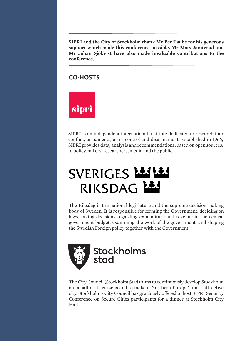**SIPRI and the City of Stockholm thank Mr Per Taube for his generous support which made this conference possible. Mr Mats Jämterud and Mr Johan Sjökvist have also made invaluable contributions to the conference.**

## CO-HOSTS



SIPRI is an independent international institute dedicated to research into conflict, armaments, arms control and disarmament. Established in 1966, SIPRI provides data, analysis and recommendations, based on open sources, to policymakers, researchers, media and the public.

# SVERIGES Les RIKSDAG LAS

The Riksdag is the national legislature and the supreme decision-making body of Sweden. It is responsible for forming the Government, deciding on laws, taking decisions regarding expenditure and revenue in the central government budget, examining the work of the government, and shaping the Swedish Foreign policy together with the Government.



The City Council (Stockholm Stad) aims to continuously develop Stockholm on behalf of its citizens and to make it Northern Europe's most attractive city. Stockholm's City Council has graciously ofered to host SIPRI Security Conference on Secure Cities participants for a dinner at Stockholm City Hall.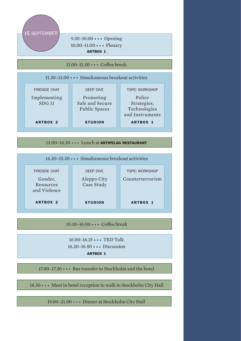

16.20–16.50 ••• Discussion

ARTBOX 1

17.00–17.30 ••• Bus transfer to Stockholm and the hotel

18.30 ••• Meet in hotel reception to walk to Stockholm City Hall

19.00–21.00 ••• Dinner at Stockholm City Hall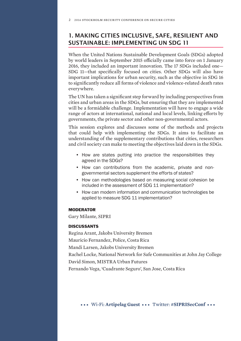## 1. MAKING CITIES INCLUSIVE, SAFE, RESILIENT AND SUSTAINABLE: IMPLEMENTING UN SDG 11

When the United Nations Sustainable Development Goals (SDGs) adopted by world leaders in September 2015 officially came into force on 1 January 2016, they included an important innovation. The 17 SDGs included one— SDG 11—that specifically focused on cities. Other SDGs will also have important implications for urban security, such as the objective in SDG 16 to significantly reduce all forms of violence and violence-related death rates everywhere.

The UN has taken a significant step forward by including perspectives from cities and urban areas in the SDGs, but ensuring that they are implemented will be a formidable challenge. Implementation will have to engage a wide range of actors at international, national and local levels, linking efforts by governments, the private sector and other non-governmental actors.

This session explores and discusses some of the methods and projects that could help with implementing the SDGs. It aims to facilitate an understanding of the supplementary contributions that cities, researchers and civil society can make to meeting the objectives laid down in the SDGs.

- How are states putting into practice the responsibilities they agreed in the SDGs?
- How can contributions from the academic, private and nongovernmental sectors supplement the efforts of states?
- How can methodologies based on measuring social cohesion be included in the assessment of SDG 11 implementation?
- How can modern information and communication technologies be applied to measure SDG 11 implementation?

#### MODERATOR

Gary Milante, SIPRI

#### **DISCUSSANTS**

Regina Arant, Jakobs University Bremen Mauricio Fernandez, Police, Costa Rica Mandi Larsen, Jakobs University Bremen Rachel Locke, National Network for Safe Communities at John Jay College David Simon, MISTRA Urban Futures Fernando Vega, 'Cuadrante Seguro', San Jose, Costa Rica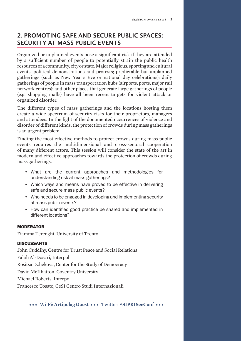## 2. PROMOTING SAFE AND SECURE PUBLIC SPACES: SECURITY AT MASS PUBLIC EVENTS

Organized or unplanned events pose a significant risk if they are attended by a sufficient number of people to potentially strain the public health resources of a community, city or state. Major religious, sporting and cultural events; political demonstrations and protests; predictable but unplanned gatherings (such as New Year's Eve or national day celebrations); daily gatherings of people in mass transportation hubs (airports, ports, major rail network centres); and other places that generate large gatherings of people (e.g. shopping malls) have all been recent targets for violent attack or organized disorder.

The diferent types of mass gatherings and the locations hosting them create a wide spectrum of security risks for their proprietors, managers and attendees. In the light of the documented occurrences of violence and disorder of diferent kinds, the protection of crowds during mass gatherings is an urgent problem.

Finding the most efective methods to protect crowds during mass public events requires the multidimensional and cross-sectoral cooperation of many diferent actors. This session will consider the state of the art in modern and efective approaches towards the protection of crowds during mass gatherings.

- What are the current approaches and methodologies for understanding risk at mass gatherings?
- Which ways and means have proved to be effective in delivering safe and secure mass public events?
- Who needs to be engaged in developing and implementing security at mass public events?
- How can identifed good practice be shared and implemented in different locations?

#### MODERATOR

Fiamma Terenghi, University of Trento

#### **DISCUSSANTS**

John Cuddihy, Centre for Trust Peace and Social Relations Falah Al-Dosari, Interpol Rositsa Dzhekova, Center for the Study of Democracy David McIlhatton, Coventry University Michael Roberts, Interpol Francesco Tosato, CeSI Centro Studi Internazionali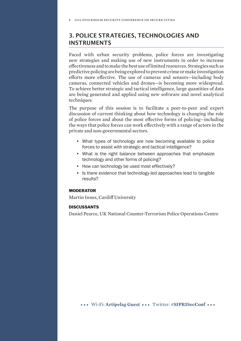## 3. POLICE STRATEGIES, TECHNOLOGIES AND INSTRUMENTS

Faced with urban security problems, police forces are investigating new strategies and making use of new instruments in order to increase efectiveness and to make the best use of limited resources. Strategies such as predictive policing are being explored to prevent crime or make investigation eforts more efective. The use of cameras and sensors—including body cameras, connected vehicles and drones—is becoming more widespread. To achieve better strategic and tactical intelligence, large quantities of data are being generated and applied using new software and novel analytical techniques.

The purpose of this session is to facilitate a peer-to-peer and expert discussion of current thinking about how technology is changing the role of police forces and about the most efective forms of policing—including the ways that police forces can work efectively with a range of actors in the private and non-governmental sectors.

- What types of technology are now becoming available to police forces to assist with strategic and tactical intelligence?
- What is the right balance between approaches that emphasize technology and other forms of policing?
- How can technology be used most effectively?
- Is there evidence that technology-led approaches lead to tangible results?

#### MODERATOR

Martin Innes, Cardif University

#### **DISCUSSANTS**

Daniel Pearce, UK National Counter-Terrorism Police Operations Centre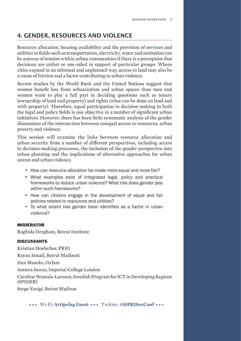## 4. GENDER, RESOURCES AND VIOLENCE

Resource allocation, housing availability and the provision of services and utilities in fields such as transportation, electricity, water and sanitation can be sources of tension within urban communities if there is a perception that decisions are unfair or one-sided in support of particular groups. Where cities expand in an informal and unplanned way, access to land may also be a cause of friction and a factor contributing to urban violence.

Recent studies by the World Bank and the United Nations suggest that women benefit less from urbanization and urban spaces than men and women want to play a full part in deciding questions such as tenure (ownership of land and property) and rights (what can be done on land and with property). Therefore, equal participation in decision making in both the legal and policy fields is one objective in a number of significant urban initiatives. However, there has been little systematic analysis of the gender dimensions of the intersection between unequal access to resources, urban poverty and violence.

This session will examine the links between resource allocation and urban security from a number of diferent perspectives, including access to decision-making processes, the inclusion of the gender perspective into urban planning and the implications of alternative approaches for urban unrest and urban violence.

- How can resource allocation be made more equal and more fair?
- What examples exist of integrated legal, policy and practical frameworks to reduce urban violence? What role does gender play within such frameworks?
- How can citizens engage in the development of equal and fair policies related to resources and utilities?
- To what extent has gender been identifed as a factor in urban violence?

#### MODERATOR

Raghida Dergham, Beirut Institute

#### **DISCUSSANTS**

Kristian Hoelscher, PRIO

Rayan Ismail, Beirut Madinati

Sian Maseko, Oxfam

Amiera Sawas, Imperial College London

Caroline Wamala-Larsson, Swedish Program for ICT in Developing Regions (SPIDER)

Serge Yazigi, Beirut Madinat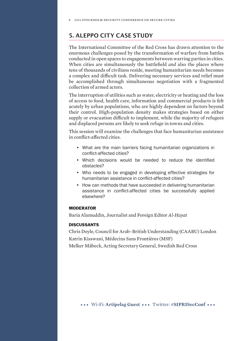## 5. ALEPPO CITY CASE STUDY

The International Committee of the Red Cross has drawn attention to the enormous challenges posed by the transformation of warfare from battles conducted in open spaces to engagements between warring parties in cities. When cities are simultaneously the battlefield *and* also the places where tens of thousands of civilians reside, meeting humanitarian needs becomes a complex and difficult task. Delivering necessary services and relief must be accomplished through simultaneous negotiation with a fragmented collection of armed actors.

The interruption of utilities such as water, electricity or heating and the loss of access to food, health care, information and commercial products is felt acutely by urban populations, who are highly dependent on factors beyond their control. High-population density makes strategies based on either supply or evacuation difficult to implement, while the majority of refugees and displaced persons are likely to seek refuge in towns and cities.

This session will examine the challenges that face humanitarian assistance in conflict-afected cities.

- What are the main barriers facing humanitarian organizations in confict-affected cities?
- Which decisions would be needed to reduce the identifed obstacles?
- Who needs to be engaged in developing effective strategies for humanitarian assistance in confict-affected cities?
- How can methods that have succeeded in delivering humanitarian assistance in confict-affected cities be successfully applied elsewhere?

#### MODERATOR

Baria Alamuddin, Journalist and Foreign Editor *Al-Hayat*

#### **DISCUSSANTS**

Chris Doyle, Council for Arab–British Understanding (CAABU) London Katrin Kisswani, Médecins Sans Frontières (MSF)

Melker Måbeck, Acting Secretary General, Swedish Red Cross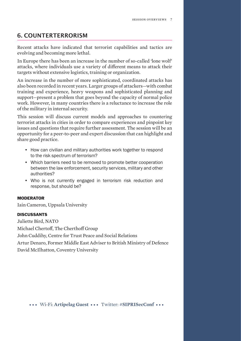## 6. COUNTERTERRORISM

Recent attacks have indicated that terrorist capabilities and tactics are evolving and becoming more lethal.

In Europe there has been an increase in the number of so-called 'lone wolf' attacks, where individuals use a variety of diferent means to attack their targets without extensive logistics, training or organization.

An increase in the number of more sophisticated, coordinated attacks has also been recorded in recent years. Larger groups of attackers—with combat training and experience, heavy weapons and sophisticated planning and support—present a problem that goes beyond the capacity of normal police work. However, in many countries there is a reluctance to increase the role of the military in internal security.

This session will discuss current models and approaches to countering terrorist attacks in cities in order to compare experiences and pinpoint key issues and questions that require further assessment. The session will be an opportunity for a peer-to-peer and expert discussion that can highlight and share good practice.

- How can civilian and military authorities work together to respond to the risk spectrum of terrorism?
- Which barriers need to be removed to promote better cooperation between the law enforcement, security services, military and other authorities?
- Who is not currently engaged in terrorism risk reduction and response, but should be?

#### MODERATOR

Iain Cameron, Uppsala University

#### DISCUSSANTS

Juliette Bird, NATO

Michael Chertoff, The Cherthoff Group

John Cuddihy, Centre for Trust Peace and Social Relations

Artur Denaro, Former Middle East Adviser to British Ministry of Defence David McIlhatton, Coventry University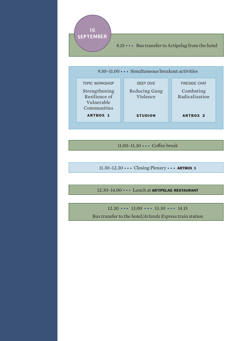

9.30–11.00 ••• Simultaneous breakout activities fireside chat Combating deep dive Reducing Gang topic workshop Strengthening

Radicalization ARTBOX 2 Violence **STUDION** Resilience of Vulnerable Communities ARTBOX 1

11.00-11.30 ••• Coffee break

11.30–12.30 ••• Closing Plenary ••• ARTBOX <sup>1</sup>

12.30–14.00 ••• Lunch at ARTIPELAG RESTAURANT

 $12.30 \cdots 13.00 \cdots 13.30 \cdots 14.15$ Bus transfer to the hotel/*Arlanda Express* train station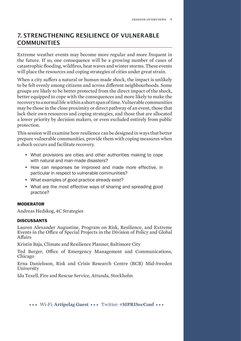## 7. STRENGTHENING RESILIENCE OF VULNERABLE COMMUNITIES

Extreme weather events may become more regular and more frequent in the future. If so, one consequence will be a growing number of cases of catastrophic flooding, wildfires, heat waves and winter storms. These events will place the resources and coping strategies of cities under great strain.

When a city suffers a natural or human-made shock, the impact is unlikely to be felt evenly among citizens and across diferent neighbourhoods. Some groups are likely to be better protected from the direct impact of the shock, better equipped to cope with the consequences and more likely to make the recovery to a normal life within a short span of time. Vulnerable communities may be those in the close proximity or direct pathway of an event, those that lack their own resources and coping strategies, and those that are allocated a lower priority by decision makers, or even excluded entirely from public protection.

This session will examine how resilience can be designed in ways that better prepare vulnerable communities, provide them with coping measures when a shock occurs and facilitate recovery.

- What provisions are cities and other authorities making to cope with natural and man-made disasters?
- How can responses be improved and made more effective, in particular in respect to vulnerable communities?
- What examples of good practice already exist?
- What are the most effective ways of sharing and spreading good practice?

#### MODERATOR

Andreas Hedskog, 4C Strategies

#### **DISCUSSANTS**

Lauren Alexander Augustine, Program on Risk, Resilience, and Extreme Events in the Office of Special Projects in the Division of Policy and Global Afairs

Kristin Baja, Climate and Resilience Planner, Baltimore City

Ted Berger, Office of Emergency Management and Communications, Chicago

Erna Danielsson, Risk and Crisis Research Centre (RCR) Mid-Sweden University

Ida Texell, Fire and Rescue Service, Attunda, Stockholm

••• Wi-Fi: **Artipelag Guest** ••• Twitter: #**SIPRISecConf** •••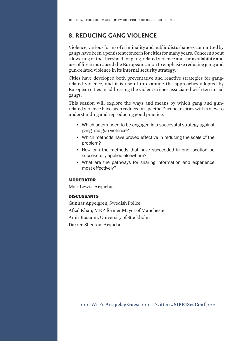## 8. REDUCING GANG VIOLENCE

Violence, various forms of criminality and public disturbances committed by gangs have been a persistent concern for cities for many years. Concern about a lowering of the threshold for gang-related violence and the availability and use of firearms caused the European Union to emphasize reducing gang and gun-related violence in its internal security strategy.

Cities have developed both preventative and reactive strategies for gangrelated violence, and it is useful to examine the approaches adopted by European cities in addressing the violent crimes associated with territorial gangs.

This session will explore the ways and means by which gang and gunrelated violence have been reduced in specific European cities with a view to understanding and reproducing good practice.

- Which actors need to be engaged in a successful strategy against gang and gun violence?
- Which methods have proved effective in reducing the scale of the problem?
- How can the methods that have succeeded in one location be successfully applied elsewhere?
- What are the pathways for sharing information and experience most effectively?

#### MODERATOR

Matt Lewis, Arquebus

#### **DISCUSSANTS**

Gunnar Appelgren, Swedish Police Afzal Khan, MEP, former Mayor of Manchester Amir Rostami, University of Stockholm Darren Shenton, Arquebus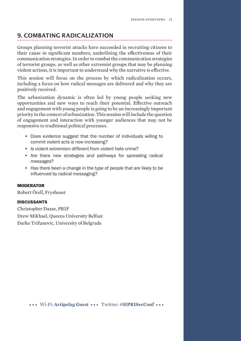## 9. COMBATING RADICALIZATION

Groups planning terrorist attacks have succeeded in recruiting citizens to their cause in significant numbers, underlining the efectiveness of their communication strategies. In order to combat the communication strategies of terrorist groups, as well as other extremist groups that may be planning violent actions, it is important to understand why the narrative is efective.

This session will focus on the process by which radicalization occurs, including a focus on how radical messages are delivered and why they are positively received.

The urbanization dynamic is often led by young people seeking new opportunities and new ways to reach their potential. Efective outreach and engagement with young people is going to be an increasingly important priority in the context of urbanization. This session will include the question of engagement and interaction with younger audiences that may not be responsive to traditional political processes.

- Does evidence suggest that the number of individuals willing to commit violent acts is now increasing?
- Is violent extremism different from violent hate crime?
- Are there new strategies and pathways for spreading radical messages?
- Has there been a change in the type of people that are likely to be infuenced by radical messaging?

#### MODERATOR

Robert Örell, Fryshuset

#### **DISCUSSANTS**

Christopher Daase, PRIF Drew Mikhael, Queens University Belfast Darko Trifunovic, University of Belgrade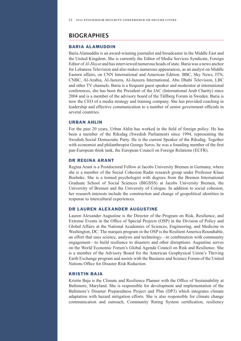### BIOGRAPHIES

#### BARIA ALAMUDDIN

Baria Alamuddin is an award-winning journalist and broadcaster in the Middle East and the United Kingdom. She is currently the Editor of Media Services Syndicate, Foreign Editor of *Al-Hayat* and has interviewed numerous heads of state. Baria was a news anchor for Lebanese Television and also makes numerous appearances, as an analyst on Middle Eastern affairs, on CNN International and American Edition. BBC, Sky News, ITN, CNBC, Al-Arabia, Al-Jazeera, Al-Jazeera International, Abu Dhabi Television, LBC and other TV channels. Baria is a frequent guest speaker and moderator at international conferences, she has been the President of the IAC (International Arab Charity) since 2004 and is a member of the advisory board of the Tällberg Forum in Sweden. Baria is now the CEO of a media strategy and training company. She has provided coaching in leadership and effective communication to a number of senior government offcials in several countries.

#### URBAN AHLIN

For the past 20 years, Urban Ahlin has worked in the feld of foreign policy. He has been a member of the Riksdag (Swedish Parliament) since 1994, representing the Swedish Social Democratic Party. He is the current Speaker of the Riksdag. Together with economist and philanthropist George Soros, he was a founding member of the frst pan-European think tank, the European Council on Foreign Relations (ECFR).

#### DR REGINA ARANT

Regina Arant is a Postdoctoral Fellow at Jacobs University Bremen in Germany, where she is a member of the Social Cohesion Radar research group under Professor Klaus Boehnke. She is a trained psychologist with degrees from the Bremen International Graduate School of Social Sciences (BIGSSS) at Jacobs University Bremen, the University of Bremen and the University of Cologne. In addition to social cohesion, her research interests include the construction and change of geopolitical identities in response to intercultural experiences.

#### DR LAUREN ALEXANDER AUGUSTINE

Lauren Alexander Augustine is the Director of the Program on Risk, Resilience, and Extreme Events in the Office of Special Projects (OSP) in the Division of Policy and Global Affairs at the National Academies of Sciences, Engineering, and Medicine in Washington, DC. The marquis program in the OSP is the Resilient America Roundtable, an effort that uses science, analysis and technology—in combination with community engagement—to build resilience to disasters and other disruptions. Augustine serves on the World Economic Forum's Global Agenda Council on Risk and Resilience. She is a member of the Advisory Board for the American Geophysical Union's Thriving Earth Exchange program and assists with the Business and Science Forum of the United Nations Office for Disaster Risk Reduction.

#### KRISTIN BAJA

Kristin Baja is the Climate and Resilience Planner with the Office of Sustainability at Baltimore, Maryland. She is responsible for development and implementation of the Baltimore's Disaster Preparedness Project and Plan (DP3) which integrates climate adaptation with hazard mitigation efforts. She is also responsible for climate change communication and outreach, Community Rating System certifcation, resiliency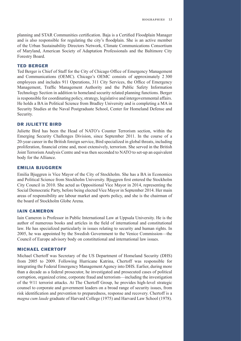planning and STAR Communities certifcation. Baja is a Certifed Floodplain Manager and is also responsible for regulating the city's foodplain. She is an active member of the Urban Sustainability Directors Network, Climate Communications Consortium of Maryland, American Society of Adaptation Professionals and the Baltimore City Forestry Board.

#### TED BERGER

Ted Berger is Chief of Staff for the City of Chicago Offce of Emergency Management and Communications (OEMC). Chicago's OEMC consists of approximately 2 300 employees and includes 911 Operations, 311 City Services, the Office of Emergency Management, Traffc Management Authority and the Public Safety Information Technology Section in addition to homeland security related planning functions. Berger is responsible for coordinating policy, strategy, legislative and intergovernmental affairs. He holds a BA in Political Science from Bradley University and is completing a MA in Security Studies at the Naval Postgraduate School, Center for Homeland Defense and Security.

#### DR JULIETTE BIRD

Juliette Bird has been the Head of NATO's Counter Terrorism section, within the Emerging Security Challenges Division, since September 2011. In the course of a 20-year career in the British foreign service, Bird specialized in global threats, including proliferation, fnancial crime and, most extensively, terrorism. She served in the British Joint Terrorism Analysis Centre and was then seconded to NATO to set-up an equivalent body for the Alliance.

#### EMILIA BJUGGREN

Emilia Bjuggren is Vice Mayor of the City of Stockholm. She has a BA in Economics and Political Science from Stockholm University. Bjuggren frst entered the Stockholm City Council in 2010. She acted as Oppositional Vice Mayor in 2014, representing the Social Democratic Party, before being elected Vice Mayor in September 2014. Her main areas of responsibility are labour market and sports policy, and she is the chairman of the board of Stockholm Globe Arena.

#### IAIN CAMERON

Iain Cameron is Professor in Public International Law at Uppsala University. He is the author of numerous books and articles in the feld of international and constitutional law. He has specialized particularly in issues relating to security and human rights. In 2005, he was appointed by the Swedish Government to the Venice Commission—the Council of Europe advisory body on constitutional and international law issues.

#### MICHAEL CHERTOFF

Michael Chertoff was Secretary of the US Department of Homeland Security (DHS) from 2005 to 2009. Following Hurricane Katrina, Chertoff was responsible for integrating the Federal Emergency Management Agency into DHS. Earlier, during more than a decade as a federal prosecutor, he investigated and prosecuted cases of political corruption, organized crime, corporate fraud and terrorism—including the investigation of the 9/11 terrorist attacks. At The Chertoff Group, he provides high-level strategic counsel to corporate and government leaders on a broad range of security issues, from risk identifcation and prevention to preparedness, response and recovery. Chertoff is a *magna cum laude* graduate of Harvard College (1975) and Harvard Law School (1978).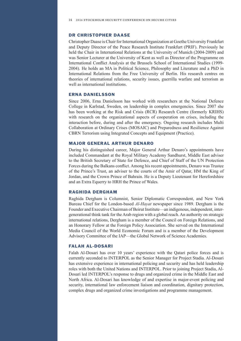#### DR CHRISTOPHER DAASE

Christopher Daase is Chair for International Organization at Goethe University Frankfurt and Deputy Director of the Peace Research Institute Frankfurt (PRIF). Previously he held the Chair in International Relations at the University of Munich (2004-2009) and was Senior Lecturer at the University of Kent as well as Director of the Programme on International Confict Analysis at the Brussels School of International Studies (1999- 2004). He holds an MA in Political Science, Philosophy and Literature and a PhD in International Relations from the Free University of Berlin. His research centres on theories of international relations, security issues, guerrilla warfare and terrorism as well as international institutions.

#### ERNA DANIELSSON

Since 2006, Erna Danielsson has worked with researchers at the National Defence College in Karlstad, Sweden, on leadership in complex emergencies. Since 2007 she has been working at the Risk and Crisis (RCR) Research Centre (formerly KRIHS) with research on the organizational aspects of cooperation on crises, including the interaction before, during and after the emergency. Ongoing research includes Multi Collaboration at Ordinary Crises (MOSAIC) and Preparedness and Resilience Against CBRN Terrorism using Integrated Concepts and Equipment (Practice).

#### MAJOR GENERAL ARTHUR DENARO

During his distinguished career, Major General Arthur Denaro's appointments have included Commandant at the Royal Military Academy Sandhurst, Middle East adviser to the British Secretary of State for Defence, and Chief of Staff of the UN Protection Forces during the Balkans confict. Among his recent appointments, Denaro was Trustee of the Prince's Trust, an adviser to the courts of the Amir of Qatar, HM the King of Jordan, and the Crown Prince of Bahrain. He is a Deputy Lieutenant for Herefordshire and an Extra Equerry to HRH the Prince of Wales.

#### RAGHIDA DERGHAM

Raghida Dergham is Columnist, Senior Diplomatic Correspondent, and New York Bureau Chief for the London-based *Al-Hayat* newspaper since 1989. Dergham is the Founder and Executive Chairman of Beirut Institute—an indigenous, independent, intergenerational think tank for the Arab region with a global reach. An authority on strategic international relations, Dergham is a member of the Council on Foreign Relations, and an Honorary Fellow at the Foreign Policy Association. She served on the International Media Council of the World Economic Forum and is a member of the Development Advisory Committee of the IAP—the Global Network of Science Academies.

#### **FALAH AL-DOSARI**

Falah Al-Dosari has over 10 years' experience with the Qatari police forces and is currently seconded to INTERPOL as the Senior Manager for Project Stadia. Al-Dosari has extensive experience in international policing and security and has held leadership roles with both the United Nations and INTERPOL. Prior to joining Project Stadia, Al-Dosari led INTERPOL's response to drugs and organized crime in the Middle East and North Africa. Al-Dosari has knowledge of and expertise in major-event policing and security, international law enforcement liaison and coordination, dignitary protection, complex drugs and organized crime investigations and programme management.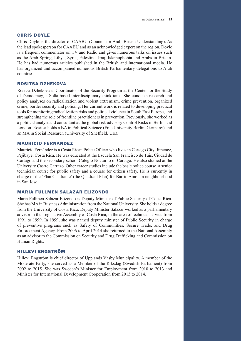#### CHRIS DOYLE

Chris Doyle is the director of CAABU (Council for Arab–British Understanding). As the lead spokesperson for CAABU and as an acknowledged expert on the region, Doyle is a frequent commentator on TV and Radio and gives numerous talks on issues such as the Arab Spring, Libya, Syria, Palestine, Iraq, Islamophobia and Arabs in Britain. He has had numerous articles published in the British and international media. He has organized and accompanied numerous British Parliamentary delegations to Arab countries.

#### ROSITSA DZHEKOVA

Rositsa Dzhekova is Coordinator of the Security Program at the Center for the Study of Democracy, a Sofa-based interdisciplinary think tank. She conducts research and policy analyses on radicalization and violent extremism, crime prevention, organized crime, border security and policing. Her current work is related to developing practical tools for monitoring radicalization risks and political violence in South East Europe, and strengthening the role of frontline practitioners in prevention. Previously, she worked as a political analyst and consultant at the global risk advisory Control Risks in Berlin and London. Rositsa holds a BA in Political Science (Free University Berlin, Germany) and an MA in Social Research (University of Sheffeld, UK).

#### MAURICIO FERNÁNDEZ

Mauricio Fernández is a Costa Rican Police Officer who lives in Cartago City, Jimenez, Pejibaye, Costa Rica. He was educated at the Escuela San Francisco de Tuis, Ciudad de Cartago and the secondary school Colegio Nocturno of Cartago. He also studied at the University Castro Carrazo. Other career studies include the basic police course, a senior technician course for public safety and a course for citizen safety. He is currently in charge of the 'Plan Cuadrante' (the Quadrant Plan) for Barrio Amon, a neighbourhood in San Jose.

#### MARIA FULLMEN SALAZAR ELIZONDO

Maria Fullmen Salazar Elizondo is Deputy Minister of Public Security of Costa Rica. She has MA in Business Administration from the National University. She holds a degree from the University of Costa Rica. Deputy Minister Salazar worked as a parliamentary advisor in the Legislative Assembly of Costa Rica, in the area of technical service from 1991 to 1999. In 1999, she was named deputy minister of Public Security in charge of preventive programs such as Safety of Communities, Secure Trade, and Drug Enforcement Agency. From 2006 to April 2014 she returned to the National Assembly as an advisor to the Commission on Security and Drug Traffcking and Commission on Human Rights.

#### HILLEVI ENGSTRÖM

Hillevi Engström is chief director of Upplands Väsby Municipality. A member of the Moderate Party, she served as a Member of the Riksdag (Swedish Parliament) from 2002 to 2015. She was Sweden's Minister for Employment from 2010 to 2013 and Minister for International Development Cooperation from 2013 to 2014.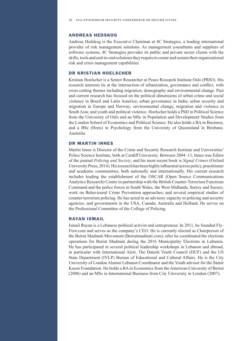#### ANDREAS HEDSKOG

Andreas Hedskog is the Executive Chairman at 4C Strategies, a leading international provider of risk management solutions. As management consultants and suppliers of software systems, 4C Strategies provides its public and private sector clients with the skills, tools and end-to-end solutions they require to create and sustain their organizational risk and crisis management capabilities.

#### DR KRISTIAN HOELSCHER

Kristian Hoelscher is a Senior Researcher at Peace Research Institute Oslo (PRIO). His research interests lie at the intersection of urbanization, governance and confict, with cross-cutting themes including migration, demography and environmental change. Past and current research has focused on the political dimensions of urban crime and social violence in Brazil and Latin America; urban governance in India; urban security and migration in Europe and Norway; environmental change, migration and violence in South Asia; and youth and political violence. Hoelscher holds a PhD in Political Science from the University of Oslo and an MSc in Population and Development Studies from the London School of Economics and Political Science. He also holds a BA in Business, and a BSc (Hons) in Psychology from the University of Queensland in Brisbane, Australia.

#### DR MARTIN INNES

Martin Innes is Director of the Crime and Security Research Institute and Universities' Police Science Institute, both at Cardiff University. Between 2004–13, Innes was Editor of the journal *Policing and Society*, and his most recent book is *Signal Crimes* (Oxford University Press, 2014). His research has been highly infuential across policy, practitioner and academic communities, both nationally and internationally. His current research includes leading the establishment of the OSCAR (Open Source Communications Analytics Research) Centre in partnership with the British Counter-Terrorism Functions Command and the police forces in South Wales, the West Midlands, Surrey and Sussex; work on Behavioural Crime Prevention approaches; and several empirical studies of counter-terrorism policing. He has acted in an advisory capacity to policing and security agencies, and governments in the USA, Canada, Australia and Holland. He serves on the Professional Committee of the College of Policing.

#### RAYAN ISMAIL

Ismail Rayan is a Lebanese political activist and entrepreneur. In 2011, he founded Fly-Foot.com and serves as the company's CEO. He is currently elected as Chairperson of the Beirut Madinati Movement (Beirutmadinati.com), after he coordinated the elections operations for Beirut Madinati during the 2016 Municipality Elections in Lebanon. He has participated in several political leadership workshops in Lebanon and abroad, in particular with International Alert, The Danish Youth Council (DUF) and the US State Department (IVLP) Bureau of Educational and Cultural Affairs. He is the City University of London Alumni Lebanon Coordinator and the Youth advisor for the Samir Kassir Foundation. He holds a BA in Economics from the American University of Beirut (2006) and an MSc in International Business from City University in London (2007).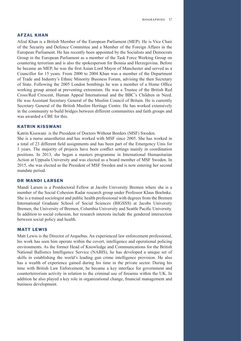#### AFZAL KHAN

Afzal Khan is a British Member of the European Parliament (MEP). He is Vice Chair of the Security and Defence Committee and a Member of the Foreign Affairs in the European Parliament. He has recently been appointed by the Socialists and Democrats Group in the European Parliament as a member of the Task Force Working Group on countering terrorism and is also the spokesperson for Bosnia and Herzegovina. Before he became an MEP, he was the frst Asian Lord Mayor of Manchester and served as a Councillor for 15 years. From 2000 to 2004 Khan was a member of the Department of Trade and Industry's Ethnic Minority Business Forum, advising the then Secretary of State. Following the 2005 London bombings he was a member of a Home Office working group aimed at preventing extremism. He was a Trustee of the British Red Cross/Red Crescent, Human Appeal International and the BBC's Children in Need. He was Assistant Secretary General of the Muslim Council of Britain. He is currently Secretary General of the British Muslim Heritage Centre. He has worked extensively in the community to build bridges between different communities and faith groups and was awarded a CBE for this.

#### KATRIN KISSWANI

Katrin Kisswani is the President of Doctors Without Borders (MSF) Sweden.

She is a nurse anaesthetist and has worked with MSF since 2005. She has worked in a total of 23 different feld assignments and has been part of the Emergency Unis for 3 years. The majority of projects have been confict settings mainly in coordination positions. In 2013, she began a masters programme in International Humanitarian Action at Uppsala University and was elected as a board member of MSF Sweden. In 2015, she was elected as the President of MSF Sweden and is now entering her second mandate period.

#### DR MANDI LARSEN

Mandi Larsen is a Postdoctoral Fellow at Jacobs University Bremen where she is a member of the Social Cohesion Radar research group under Professor Klaus Boehnke. She is a trained sociologist and public health professional with degrees from the Bremen International Graduate School of Social Sciences (BIGSSS) at Jacobs University Bremen, the University of Bremen, Columbia University and Seattle Pacifc University. In addition to social cohesion, her research interests include the gendered intersection between social policy and health.

#### MATT LEWIS

Matt Lewis is the Director of Arquebus. An experienced law enforcement professional, his work has seen him operate within the covert, intelligence and operational policing environments. As the former Head of Knowledge and Communications for the British National Ballistics Intelligence Service (NABIS), he has developed a unique set of skills in establishing the world's leading gun crime intelligence provision. He also has a wealth of experience gained during his time in the private sector. During his time with British Law Enforcement, he became a key interface for government and counterterrorism activity in relation to the criminal use of frearms within the UK. In addition he also played a key role in organizational change, fnancial management and business development.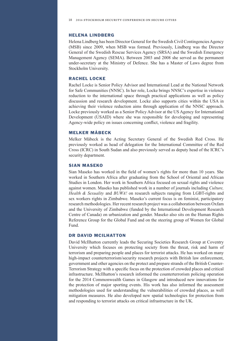#### HELENA LINDBERG

Helena Lindberg has been Director General for the Swedish Civil Contingencies Agency (MSB) since 2009, when MSB was formed. Previously, Lindberg was the Director General of the Swedish Rescue Services Agency (SRSA) and the Swedish Emergency Management Agency (SEMA). Between 2003 and 2008 she served as the permanent under-secretary at the Ministry of Defence. She has a Master of Laws degree from Stockholm University.

#### RACHEL LOCKE

Rachel Locke is Senior Policy Advisor and International Lead at the National Network for Safe Communities (NNSC). In her role, Locke brings NNSC's expertise in violence reduction to the international space through practical applications as well as policy discussion and research development. Locke also supports cities within the USA in achieving their violence reduction aims through application of the NNSC approach. Locke previously worked as a Senior Policy Advisor at the US Agency for International Development (USAID) where she was responsible for developing and representing Agency-wide policy on issues concerning confict, violence and fragility.

#### MELKER MÅBECK

Melker Måbeck is the Acting Secretary General of the Swedish Red Cross. He previously worked as head of delegation for the International Committee of the Red Cross (ICRC) in South Sudan and also previously served as deputy head of the ICRC's security department.

#### SIAN MASEKO

Sian Maseko has worked in the feld of women's rights for more than 10 years. She worked in Southern Africa after graduating from the School of Oriental and African Studies in London. Her work in Southern Africa focused on sexual rights and violence against women. Maseko has published work in a number of journals including *Culture, Health & Sexuality* and *BUWA!* on research subjects ranging from LGBT-rights and sex workers rights in Zimbabwe. Maseko's current focus is on feminist, participatory research methodologies. Her recent research project was a collaboration between Oxfam and the University of Zimbabwe (funded by the International Development Research Centre of Canada) on urbanization and gender. Maseko also sits on the Human Rights Reference Group for the Global Fund and on the steering group of Women for Global Fund.

#### DR DAVID MCILHATTON

David McIlhatton currently leads the Securing Societies Research Group at Coventry University which focuses on protecting society from the threat, risk and harm of terrorism and preparing people and places for terrorist attacks. He has worked on many high-impact counterterrorism/security research projects with British law enforcement, government and other agencies on the protect and prepare strands of the British Counter-Terrorism Strategy with a specifc focus on the protection of crowded places and critical infrastructure. McIlhatton's research informed the counterterrorism policing operation for the 2014 Commonwealth Games in Glasgow and introduced new innovations for the protection of major sporting events. His work has also informed the assessment methodologies used for understanding the vulnerabilities of crowded places, as well mitigation measures. He also developed new spatial technologies for protection from and responding to terrorist attacks on critical infrastructure in the UK.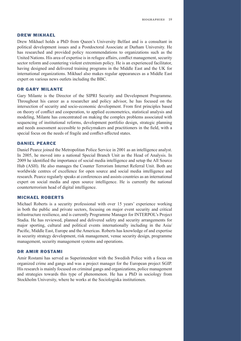#### DREW MIKHAEL

Drew Mikhael holds a PhD from Queen's University Belfast and is a consultant in political development issues and a Postdoctoral Associate at Durham University. He has researched and provided policy recommendations to organizations such as the United Nations. His area of expertise is in refugee affairs, confict management, security sector reform and countering violent extremism policy. He is an experienced facilitator, having designed and delivered training programs in the Middle East and the UK for international organizations. Mikhael also makes regular appearances as a Middle East expert on various news outlets including the BBC.

#### DR GARY MILANTE

Gary Milante is the Director of the SIPRI Security and Development Programme. Throughout his career as a researcher and policy advisor, he has focused on the intersection of security and socio-economic development. From frst principles based on theory of confict and cooperation, to applied econometrics, statistical analysis and modeling, Milante has concentrated on making the complex problems associated with sequencing of institutional reforms, development portfolio design, strategic planning and needs assessment accessible to policymakers and practitioners in the feld, with a special focus on the needs of fragile and confict-affected states.

#### DANIEL PEARCE

Daniel Pearce joined the Metropolitan Police Service in 2001 as an intelligence analyst. In 2005, he moved into a national Special Branch Unit as the Head of Analysis. In 2009 he identifed the importance of social media intelligence and setup the All Source Hub (ASH). He also manages the Counter Terrorism Internet Referral Unit. Both are worldwide centres of excellence for open source and social media intelligence and research. Pearce regularly speaks at conferences and assists countries as an international expert on social media and open source intelligence. He is currently the national counterterrorism head of digital intelligence.

#### MICHAEL ROBERTS

Michael Roberts is a security professional with over 15 years' experience working in both the public and private sectors, focusing on major event security and critical infrastructure resilience, and is currently Programme Manager for INTERPOL's Project Stadia. He has reviewed, planned and delivered safety and security arrangements for major sporting, cultural and political events internationally including in the Asia/ Pacifc, Middle East, Europe and the Americas. Roberts has knowledge of and expertise in security strategy development, risk management, venue security design, programme management, security management systems and operations.

#### DR AMIR ROSTAMI

Amir Rostami has served as Superintendent with the Swedish Police with a focus on organized crime and gangs and was a project manager for the European project SGIP. His research is mainly focused on criminal gangs and organizations, police management and strategies towards this type of phenomenon. He has a PhD in sociology from Stockholm University, where he works at the Sociologiska institutionen.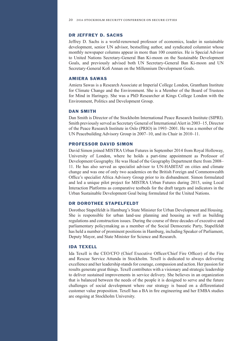#### DR JEFFREY D. SACHS

Jeffrey D. Sachs is a world-renowned professor of economics, leader in sustainable development, senior UN advisor, bestselling author, and syndicated columnist whose monthly newspaper columns appear in more than 100 countries. He is Special Advisor to United Nations Secretary-General Ban Ki-moon on the Sustainable Development Goals, and previously advised both UN Secretary-General Ban Ki-moon and UN Secretary-General Kofi Annan on the Millennium Development Goals.

#### AMIERA SAWAS

Amiera Sawas is a Research Associate at Imperial College London, Grantham Institute for Climate Change and the Environment. She is a Member of the Board of Trustees for Mind in Haringey. She was a PhD Researcher at Kings College London with the Environment, Politics and Development Group.

#### DAN SMITH

Dan Smith is Director of the Stockholm International Peace Research Institute (SIPRI). Smith previously served as Secretary General of International Alert in 2003–15, Director of the Peace Research Institute in Oslo (PRIO) in 1993–2001. He was a member of the UN Peacebuilding Advisory Group in 2007–10, and its Chair in 2010–11.

#### PROFESSOR DAVID SIMON

David Simon joined MISTRA Urban Futures in September 2014 from Royal Holloway, University of London, where he holds a part-time appointment as Professor of Development Geography. He was Head of the Geography Department there from 2008– 11. He has also served as specialist advisor to UN-HABITAT on cities and climate change and was one of only two academics on the British Foreign and Commonwealth Offce's specialist Africa Advisory Group prior to its disbandment. Simon formulated and led a unique pilot project for MISTRA Urban Futures during 2015, using Local Interaction Platforms as comparative testbeds for the draft targets and indicators in the Urban Sustainable Development Goal being formulated for the United Nations.

#### DR DOROTHEE STAPELFELDT

Dorothee Stapelfeldt is Hamburg's State Minister for Urban Development and Housing. She is responsible for urban land-use planning and housing as well as building regulations and construction issues. During the course of three decades of executive and parliamentary policymaking as a member of the Social Democratic Party, Stapelfeldt has held a number of prominent positions in Hamburg, including Speaker of Parliament, Deputy Mayor, and State Minister for Science and Research.

#### IDA TEXELL

Ida Texell is the CEO/CFO (Chief Executive Officer/Chief Fire Officer) of the Fire and Rescue Service Attunda in Stockholm. Texell is dedicated to always delivering excellence and her leadership stands for courage, compassion and action. Her passion for results generate great things. Texell contributes with a visionary and strategic leadership to deliver sustained improvements in service delivery. She believes in an organization that is balanced between the needs of the people it is designed to serve and the future challenges of social development where our strategy is based on a differentiated customer value proposition. Texell has a BA in fre engineering and her EMBA studies are ongoing at Stockholm University.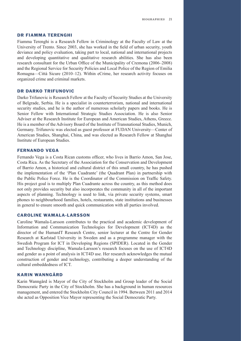#### DR FIAMMA TERENGHI

Fiamma Terenghi is a Research Fellow in Criminology at the Faculty of Law at the University of Trento. Since 2003, she has worked in the feld of urban security, youth deviance and policy evaluation, taking part to local, national and international projects and developing quantitative and qualitative research abilities. She has also been research consultant for the Urban Office of the Municipality of Cremona (2006–2008) and the Regional Service for Security Policies and Local Police of the Region of Emilia Romagna—Città Sicure (2010–12). Within eCrime, her research activity focuses on organized crime and criminal markets.

#### DR DARKO TRIFUNOVIC

Darko Trifunovic is Research Fellow at the Faculty of Security Studies at the University of Belgrade, Serbia. He is a specialist in counterterrorism, national and international security studies, and he is the author of numerous scholarly papers and books. He is Senior Fellow with International Strategic Studies Association. He is also Senior Adviser at the Research Institute for European and American Studies, Athens, Greece. He is a member of the Advisory Board of the Institute of Transnational Studies, Munich, Germany. Trifunovic was elected as guest professor at FUDAN University—Center of American Studies, Shanghai, China, and was elected as Research Fellow at Shanghai Institute of European Studies.

#### FERNANDO VEGA

Fernando Vega is a Costa Rican customs officer, who lives in Barrio Amon, San Jose, Costa Rica. As the Secretary of the Association for the Conservation and Development of Barrio Amon, a historical and cultural district of this small country, he has pushed the implementation of the 'Plan Cuadrante' (the Quadrant Plan) in partnership with the Public Police Force. He is the Coordinator of the Commission on Traffc Safety. His project goal is to multiply Plan Cuadrante across the country, as this method does not only provides security but also incorporates the community in all of the important aspects of planning. Technology is used to link, via private security systems, smart phones to neighbourhood families, hotels, restaurants, state institutions and businesses in general to ensure smooth and quick communication with all parties involved.

#### CAROLINE WAMALA-LARSSON

Caroline Wamala-Larsson contributes to the practical and academic development of Information and Communication Technologies for Development (ICT4D) as the director of the HumanIT Research Centre, senior lecturer at the Centre for Gender Research at Karlstad University in Sweden and as a programme manager with the Swedish Program for ICT in Developing Regions (SPIDER). Located in the Gender and Technology discipline, Wamala-Larsson's research focuses on the use of ICT4D and gender as a point of analysis in ICT4D use. Her research acknowledges the mutual construction of gender and technology, contributing a deeper understanding of the cultural embeddedness of ICT.

#### KARIN WANNGÅRD

Karin Wanngård is Mayor of the City of Stockholm and Group leader of the Social Democratic Party in the City of Stockholm. She has a background in human resources management, and entered the Stockholm City Council in 1994. Between 2011 and 2014 she acted as Opposition Vice Mayor representing the Social Democratic Party.